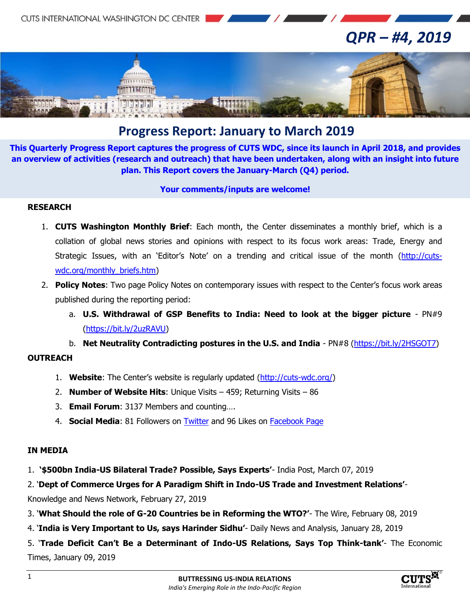

## *QPR – #4, 2019*



### **Progress Report: January to March 2019**

**This Quarterly Progress Report captures the progress of CUTS WDC, since its launch in April 2018, and provides an overview of activities (research and outreach) that have been undertaken, along with an insight into future plan. This Report covers the January-March (Q4) period.**

#### **Your comments/inputs are welcome!**

### **RESEARCH**

- 1. **CUTS Washington Monthly Brief**: Each month, the Center disseminates a monthly brief, which is a collation of global news stories and opinions with respect to its focus work areas: Trade, Energy and Strategic Issues, with an "Editor"s Note" on a trending and critical issue of the month [\(http://cuts](http://cuts-wdc.org/monthly_briefs.htm)[wdc.org/monthly\\_briefs.htm\)](http://cuts-wdc.org/monthly_briefs.htm)
- 2. **Policy Notes**: Two page Policy Notes on contemporary issues with respect to the Center"s focus work areas published during the reporting period:
	- a. **U.S. Withdrawal of GSP Benefits to India: Need to look at the bigger picture** PN#9 [\(https://bit.ly/2uzRAVU\)](https://bit.ly/2uzRAVU)

### b. **Net Neutrality Contradicting postures in the U.S. and India** - PN#8 [\(https://bit.ly/2HSGOT7\)](https://bit.ly/2HSGOT7)

### **OUTREACH**

- 1. **Website**: The Center"s website is regularly updated [\(http://cuts-wdc.org/\)](http://cuts-wdc.org/)
- 2. **Number of Website Hits**: Unique Visits 459; Returning Visits 86
- 3. **Email Forum**: 3137 Members and counting….
- 4. **Social Media**: 81 Followers on [Twitter](https://twitter.com/cutswdc) and 96 Likes on [Facebook Page](https://www.facebook.com/cutswdc)

### **IN MEDIA**

1. **'\$500bn India-US Bilateral Trade? Possible, Says Experts'**- India Post, March 07, 2019

### 2. "**Dept of Commerce Urges for A Paradigm Shift in Indo-US Trade and Investment Relations'**-

Knowledge and News Network, February 27, 2019

- 3. "**What Should the role of G-20 Countries be in Reforming the WTO?'** The Wire, February 08, 2019
- 4. "**India is Very Important to Us, says Harinder Sidhu'** Daily News and Analysis, January 28, 2019

# 5. "**Trade Deficit Can't Be a Determinant of Indo-US Relations, Says Top Think-tank'**- The Economic

Times, January 09, 2019